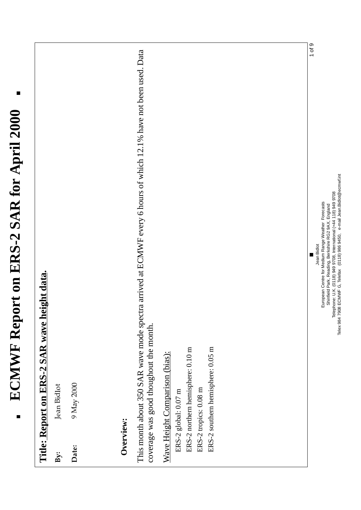## $\blacksquare$ ECMWF Report on ERS-2 SAR for April 2000 **ECMWF Report on ERS-2 SAR for April 2000**

|           | Title: Report on ERS-2 SAR wave height data.                                                                                                                |
|-----------|-------------------------------------------------------------------------------------------------------------------------------------------------------------|
| By:       | Jean Bidlot                                                                                                                                                 |
| Date:     | 9 May 2000                                                                                                                                                  |
| Overview: |                                                                                                                                                             |
|           | This month about 350 SAR wave mode spectra arrived at ECMWF every 6 hours of which 12.1% have not been used. Data<br>coverage was good thoughout the month. |
|           | ERS-2 southern hemisphere: 0.05 m<br>ERS-2 northern hemisphere: 0.10 m<br>Wave Height Comparison (bias):<br>ERS-2 tropics: 0.08 m<br>ERS-2 global: 0.07 m   |
|           | $1$ of $9$<br>ш                                                                                                                                             |

Shinfield Park, Reading, Berkshire RG2 9AX, England<br>Telex 984 7908 ECMWF G, Telefax (0118) 949 9708, International (+44 118) 949 9708<br>Telex 984 7908 ECMWF G, Telefax (0118) 986 9450, e-mail Jean.Bidlot@ecmwf.int Telex 984 7908 ECMWF G, Telefax (0118) 986 9450, e-mail Jean.Bidlot@ecmwf.int Telephone: U.K. (0118) 949 9708, International (+44 118) 949 9708 Jean Bidlot<br>European Centre for Medium Range Weather Forecasts European Centre for Medium Range Weather Forecasts Shinfield Park, Reading, Berkshire RG2 9AX, England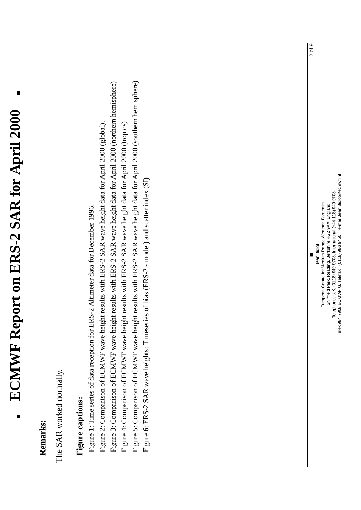|                                                          |                                                                                                                                                                                                                                                                                                                                                                                                                                                                                                                                                                                                                                                                           | $2$ of $9$                                                        |
|----------------------------------------------------------|---------------------------------------------------------------------------------------------------------------------------------------------------------------------------------------------------------------------------------------------------------------------------------------------------------------------------------------------------------------------------------------------------------------------------------------------------------------------------------------------------------------------------------------------------------------------------------------------------------------------------------------------------------------------------|-------------------------------------------------------------------|
| The SAR worked normally.<br>Figure captions:<br>Remarks: | Figure 5: Comparison of ECMWF wave height results with ERS-2 SAR wave height data for April 2000 (southern hemisphere)<br>Figure 3: Comparison of ECMWF wave height results with ERS-2 SAR wave height data for April 2000 (northern hemisphere)<br>Figure 2: Comparison of ECMWF wave height results with ERS-2 SAR wave height data for April 2000 (global).<br>Figure 4: Comparison of ECMWF wave height results with ERS-2 SAR wave height data for April 2000 (tropics)<br>of bias (ERS-2 - model) and scatter index (SI)<br>2 Altimeter data for December 1996.<br>Figure 1: Time series of data reception for ERS-<br>Figure 6: ERS-2 SAR wave heights: Timeseries | European Centre for Medium Range Weather Forecasts<br>Jean Bidlot |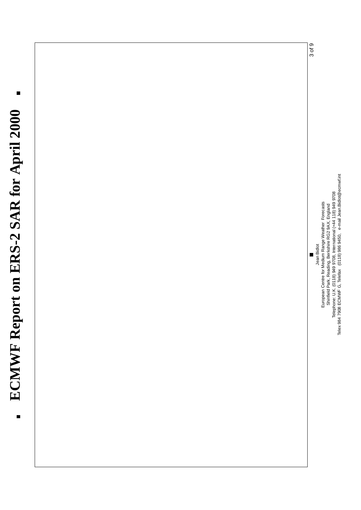## $\blacksquare$ ECMWF Report on ERS-2 SAR for April 2000 **ECMWF Report on ERS-2 SAR for April 2000**



Telex 984 7908 ECMWF G, Telefax (0118) 986 9450, e-mail Jean.Bidlot@ecmwf.int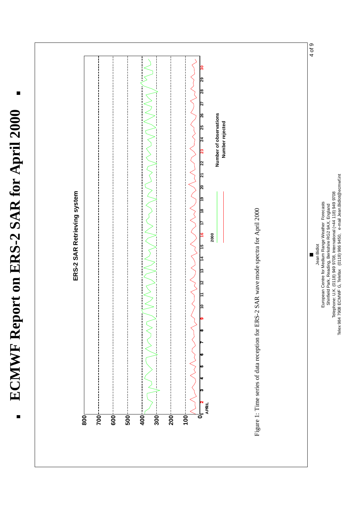$\blacksquare$ ECMWF Report on ERS-2 SAR for April 2000 **ECMWF Report on ERS-2 SAR for April 2000**

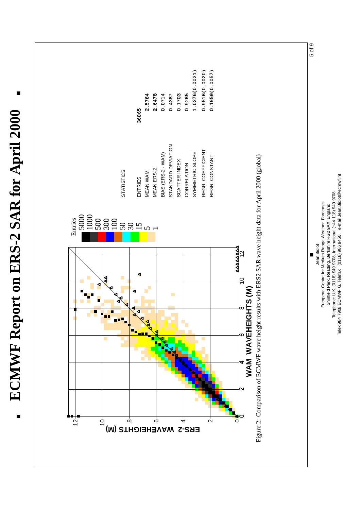ด21)<br>02 0020) 0057) 0. 9265<br>1. 0276 (0 .<br>0. 9516 (0 .<br>0. 1959 (0 . 0+2,7-6./( 0+.\* 9516 ( 0 .<br>\* ^ = ^ ^ 0 2.5764 2.6478 0.0714 2 .5764<br>2 .6478<br>0 .0714<br>0 .4387<br>0 .9265 0 1703<br>0 9265<br>0 - 0 9516<br>0 1959 36865  $\mathbf{\tau}$ **ECMWF Report on ERS-2 SAR for April 2000** ( **ERS-2 WAVEHEIGHTS (M)** STATISTICS ENTRIES MEAN WAM MEAN ERS-2 BIAS (ERS-2 - WAM) STANDARD DEVIATION SCATTER INDEX CORRELATION SYMMETRIC SLOPE REGR. COEFFICIENT REGR. COEFFICIENT REGR. CONSTANT REGR. CONSTANT Figure 2: Comparison of ECMWF wave height results with ERS2 SAR wave height data for April 2000 (global) Entries 5000 1000 500 300 100 50 30 15 5 $\overline{\phantom{0}}$ รู<br>4ูี∾ 8&10 12 **WAM WAVEHEIGHTS (M)**<br>ECMWF wave height results with **E**  $\circ$  m  $\circ$   $\circ$  $\rightarrow$   $\rightarrow$  $\sim$   $\approx$   $\sim$ 0"  $12^{-}$  $\mathbb{P}^+$  o  $\mathbb{P}^+$  o  $\mathbb{P}^+$   $\mathbb{P}^+$   $\mathbb{P}^+$   $\mathbb{P}^+$   $\mathbb{P}^+$  $\overset{_{\shortparallel }}{\infty }$ 6 $\sim$ 40

ECMWF Report on ERS-2 SAR for April 2000

5 of 9

Telephone: U.K. (0118) 949 9708, International (+44 118) 949 9708<br>Telex 984 7908 ECMWF G, Telefax (0118) 986 9450, e-mail Jean.Bidlot@ecmwf.int Telex 984 7908 ECMWF G, Telefax (0118) 986 9450, e-mail Jean.Bidlot@ecmwf.int Telephone: U.K. (0118) 949 9708, International (+44 118) 949 9708 European Centre for Medium Range Weather Forecasts European Centre for Medium Range Weather Forecasts Shinfield Park, Reading, Berkshire RG2 9AX, England Shinfield Park, Reading, Berkshire RG2 9AX, England Jean Bidlot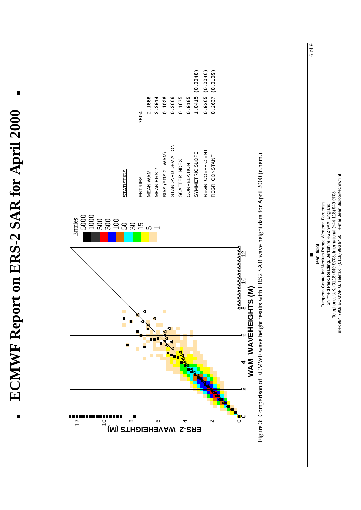6 of 9 . 0+4152/( 0+. 0+0+4840)  $0.9265( 0.0046)$ 0.2637 ( 0.0109) 2.1886 2.1886<br>2.2914<br>2.1028<br>0.1675 2914<br>1026<br>1065<br>9185 0.1028<br>0.3666<br>0.1675<br>0.92637<br>0.2637 ECMWF Report on ERS-2 SAR for April 2000 7504 **ECMWF Report on ERS-2 SAR for April 2000** .<br>0 **ERS**<br> **ERSPECTED AND AN AVALUATE SUBSERIES**<br>
MEAN ERSE2<br> **ENTRIES MEAN WAM MEAN ERS-2**<br> **ENTRIES MEAN ERS-2 BIAS (ERS-2 - WAM)**<br>
STANDARD DEVIATION<br>
STANDARD DEVIATION<br>
SCATTER NORDE SCATTER NOISE<br>
SCATTER NORDE SLOPE REGR. COEFFICIENT REGR. COEFFICIENT Figure 3: Comparison of ECMWF wave height results with ERS2 SAR wave height data for April 2000 (n.hem.) REGR. CONSTANT REGR. CONSTANT 5000 1000 500 300 100 50 30 15 5 1Entries Jean Bidlot 12<br>12 8&10 12  $\supseteq$ **WAM WAVEHEIGHTS (M)**<br>ECMWF wave height results with **E**  $\infty$  $\circ$  m  $\circ$  $\rightarrow$   $\rightarrow$  $\sim$   $\approx$   $\sim$ 0"  $\dot{\infty}$ 612  $\mathbb{P}$  =  $\mathbb{P}$  =  $\mathbb{P}$  =  $\mathbb{P}$  =  $\mathbb{P}$  =  $\mathbb{P}$  =  $\mathbb{P}$  =  $\mathbb{P}$  =  $\mathbb{P}$  =  $\mathbb{P}$  =  $\mathbb{P}$  =  $\mathbb{P}$  =  $\mathbb{P}$  =  $\mathbb{P}$  =  $\mathbb{P}$  =  $\mathbb{P}$  =  $\mathbb{P}$  =  $\mathbb{P}$  =  $\mathbb{P}$  =  $\mathbb{P}$  =  $\overline{a}$ 40

European Centre for Medium Range Weather Forecasts Shinfield Park, Reading, Berkshire RG2 9AX, England Telephone: U.K. (0118) 949 9708, International (+44 118) 949 9708 Telex 984 7908 ECMWF G, Telefax (0118) 986 9450, e-mail Jean.Bidlot@ecmwf.int

European Centre for Medium Range Weather Forecasts Shinfield Park, Reading, Berkshire RG2 9AX, England

Telephone: U.K. (0118) 949 9708, International (+44 118) 949 9708<br>Telex 984 7908 ECMWF G, Telefax (0118) 986 9450, e-mail Jean.Bidlot@ecmwf.int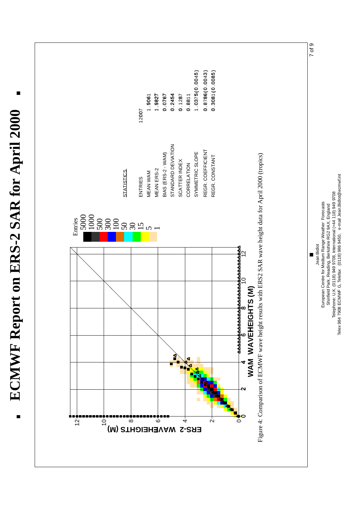



Telephone: U.K. (0118) 949 9708, International (+44 118) 949 9708 Telex 984 7908 ECMWF G, Telefax (0118) 986 9450, e-mail Jean.Bidlot@ecmwf.int

Telephone: U.K. (0118) 949 9708, International (+44 118) 949 9708<br>Telex 984 7908 ECMWF G, Telefax (0118) 986 9450, e-mail Jean.Bidlot@ecmwf.int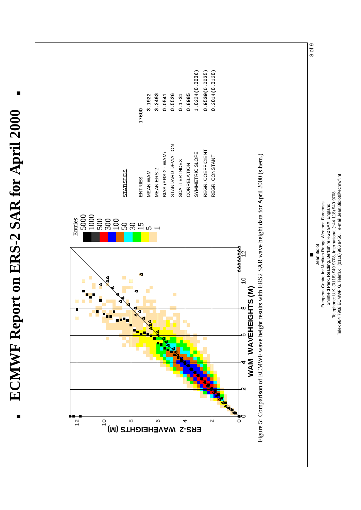8 of 9 0.8985<br>1.0224(0.0036)<br>0.9539(0.0035)<br>0.2014(0.0120)  $1.0224 (0.0036)$ 0. 9539 ( 0. 0035 ) 0. 2014 ( 0. 0120 ) 0.5526 0.1731 3. 1922 3.2463 2<br>0541<br>0525<br>255<br>2085 525<br>52532<br>52535<br>52535 17600  $\dot{\circ}$  .  $\bar{}$ **ERS**<br> **ERSPECTED AND AND STATISTICS**<br> **ERSPECTED AND MEAN WAM**<br> **ERSE-2 WAM MEAN ERS-2**<br> **ERS-2 - WAM)**<br> **ERS-2 - WAM)**<br> **ERS-2 - WAM)**<br> **ERS-2 - WAM)**<br>
STANDARD DEVIATION<br>
STANDARD DEVIATION SYMMETRIC SLOPE<br> **ERS-2 - WAM** REGR. COEFFICIENT REGR. COEFFICIENT REGR. CONSTANT Figure 5: Comparison of ECMWF wave height results with ERS2 SAR wave height data for April 2000 (s.hem.) REGR. CONSTANT European Centre for Medium Range Weather Forecasts European Centre for Medium Range Weather Forecasts Shinfield Park, Reading, Berkshire RG2 9AX, England Shinfield Park, Reading, Berkshire RG2 9AX, England Entries 5000 1000 500 300 100 50 30 15 5 $\overline{\phantom{0}}$ Jean Bidlot  $\frac{444}{12}$ 8&10 12  $\overline{a}$ **WAM WAVEHEIGHTS (M)**<br>ECMWF wave height results with **E**  $\infty$  $\circ$  m  $\circ$  $\rightarrow$   $\rightarrow$  $\sim$   $\approx$   $\sim$ 0"  $\frac{1}{2}$  $\mathcal{L} = \mathcal{L}$  (M) STHEIGHTS (M)  $\mathcal{L} = \mathcal{L}$  $\overset{1}{\infty}$ 6 $\overline{a}$ 40

Telephone: U.K. (0118) 949 9708, International (+44 118) 949 9708 Telex 984 7908 ECMWF G, Telefax (0118) 986 9450, e-mail Jean.Bidlot@ecmwf.int

Telephone: U.K. (0118) 949 9708, International (+44 118) 949 9708<br>Telex 984 7908 ECMWF G, Telefax (0118) 986 9450, e-mail Jean.Bidlot@ecmwf.int

ECMWF Report on ERS-2 SAR for April 2000 **ECMWF Report on ERS-2 SAR for April 2000**